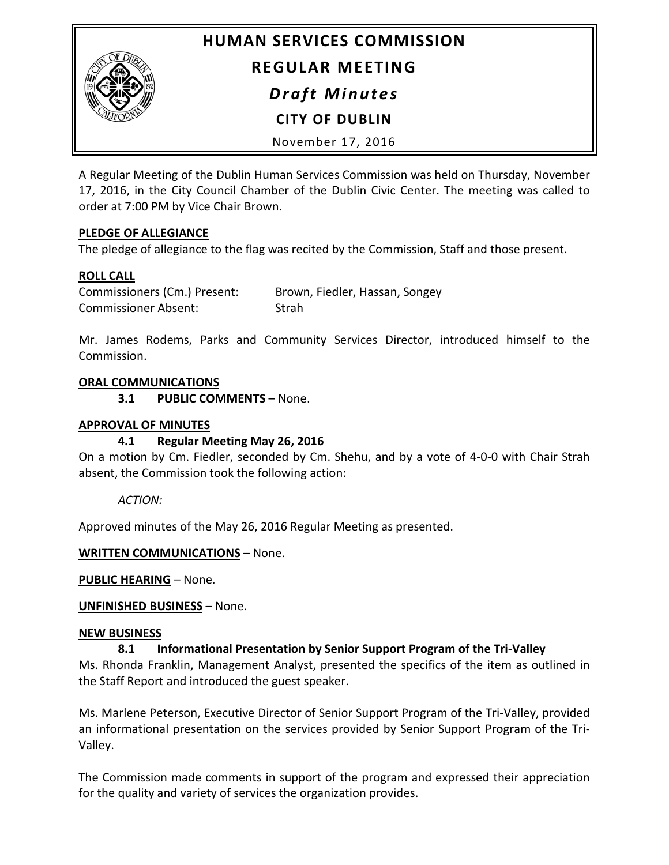

# **HUMAN SERVICES COMMISSION REGULAR MEETING**

*Draft Minutes*

**CITY OF DUBLIN**

November 17, 2016

A Regular Meeting of the Dublin Human Services Commission was held on Thursday, November 17, 2016, in the City Council Chamber of the Dublin Civic Center. The meeting was called to order at 7:00 PM by Vice Chair Brown.

## **PLEDGE OF ALLEGIANCE**

The pledge of allegiance to the flag was recited by the Commission, Staff and those present.

# **ROLL CALL**

| Commissioners (Cm.) Present: | Brown, Fiedler, Hassan, Songey |
|------------------------------|--------------------------------|
| <b>Commissioner Absent:</b>  | Strah                          |

Mr. James Rodems, Parks and Community Services Director, introduced himself to the Commission.

## **ORAL COMMUNICATIONS**

**3.1 PUBLIC COMMENTS** – None.

#### **APPROVAL OF MINUTES**

## **4.1 Regular Meeting May 26, 2016**

On a motion by Cm. Fiedler, seconded by Cm. Shehu, and by a vote of 4-0-0 with Chair Strah absent, the Commission took the following action:

## *ACTION:*

Approved minutes of the May 26, 2016 Regular Meeting as presented.

**WRITTEN COMMUNICATIONS** – None.

**PUBLIC HEARING** – None.

**UNFINISHED BUSINESS** – None.

#### **NEW BUSINESS**

## **8.1 Informational Presentation by Senior Support Program of the Tri-Valley**

Ms. Rhonda Franklin, Management Analyst, presented the specifics of the item as outlined in the Staff Report and introduced the guest speaker.

Ms. Marlene Peterson, Executive Director of Senior Support Program of the Tri-Valley, provided an informational presentation on the services provided by Senior Support Program of the Tri-Valley.

The Commission made comments in support of the program and expressed their appreciation for the quality and variety of services the organization provides.